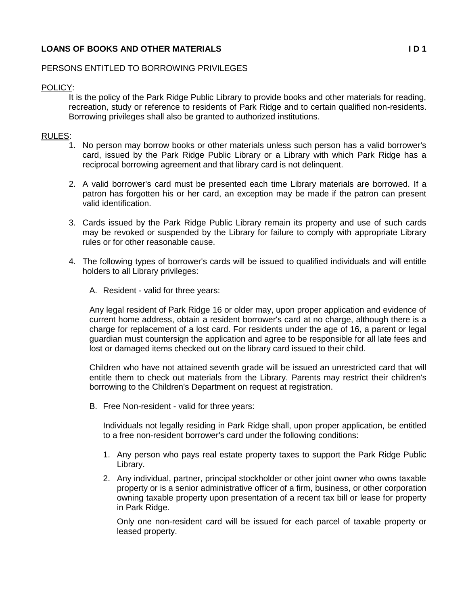# **LOANS OF BOOKS AND OTHER MATERIALS I D 1**

## PERSONS ENTITLED TO BORROWING PRIVILEGES

#### POLICY:

It is the policy of the Park Ridge Public Library to provide books and other materials for reading, recreation, study or reference to residents of Park Ridge and to certain qualified non-residents. Borrowing privileges shall also be granted to authorized institutions.

#### RULES:

- 1. No person may borrow books or other materials unless such person has a valid borrower's card, issued by the Park Ridge Public Library or a Library with which Park Ridge has a reciprocal borrowing agreement and that library card is not delinquent.
- 2. A valid borrower's card must be presented each time Library materials are borrowed. If a patron has forgotten his or her card, an exception may be made if the patron can present valid identification.
- 3. Cards issued by the Park Ridge Public Library remain its property and use of such cards may be revoked or suspended by the Library for failure to comply with appropriate Library rules or for other reasonable cause.
- 4. The following types of borrower's cards will be issued to qualified individuals and will entitle holders to all Library privileges:
	- A. Resident valid for three years:

Any legal resident of Park Ridge 16 or older may, upon proper application and evidence of current home address, obtain a resident borrower's card at no charge, although there is a charge for replacement of a lost card. For residents under the age of 16, a parent or legal guardian must countersign the application and agree to be responsible for all late fees and lost or damaged items checked out on the library card issued to their child.

Children who have not attained seventh grade will be issued an unrestricted card that will entitle them to check out materials from the Library. Parents may restrict their children's borrowing to the Children's Department on request at registration.

B. Free Non-resident - valid for three years:

Individuals not legally residing in Park Ridge shall, upon proper application, be entitled to a free non-resident borrower's card under the following conditions:

- 1. Any person who pays real estate property taxes to support the Park Ridge Public Library.
- 2. Any individual, partner, principal stockholder or other joint owner who owns taxable property or is a senior administrative officer of a firm, business, or other corporation owning taxable property upon presentation of a recent tax bill or lease for property in Park Ridge.

Only one non-resident card will be issued for each parcel of taxable property or leased property.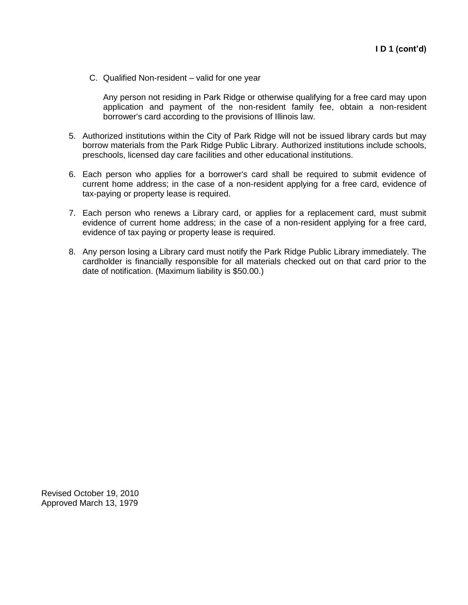C. Qualified Non-resident – valid for one year

Any person not residing in Park Ridge or otherwise qualifying for a free card may upon application and payment of the non-resident family fee, obtain a non-resident borrower's card according to the provisions of Illinois law.

- 5. Authorized institutions within the City of Park Ridge will not be issued library cards but may borrow materials from the Park Ridge Public Library. Authorized institutions include schools, preschools, licensed day care facilities and other educational institutions.
- 6. Each person who applies for a borrower's card shall be required to submit evidence of current home address; in the case of a non-resident applying for a free card, evidence of tax-paying or property lease is required.
- 7. Each person who renews a Library card, or applies for a replacement card, must submit evidence of current home address; in the case of a non-resident applying for a free card, evidence of tax paying or property lease is required.
- 8. Any person losing a Library card must notify the Park Ridge Public Library immediately. The cardholder is financially responsible for all materials checked out on that card prior to the date of notification. (Maximum liability is \$50.00.)

Revised October 19, 2010 Approved March 13, 1979